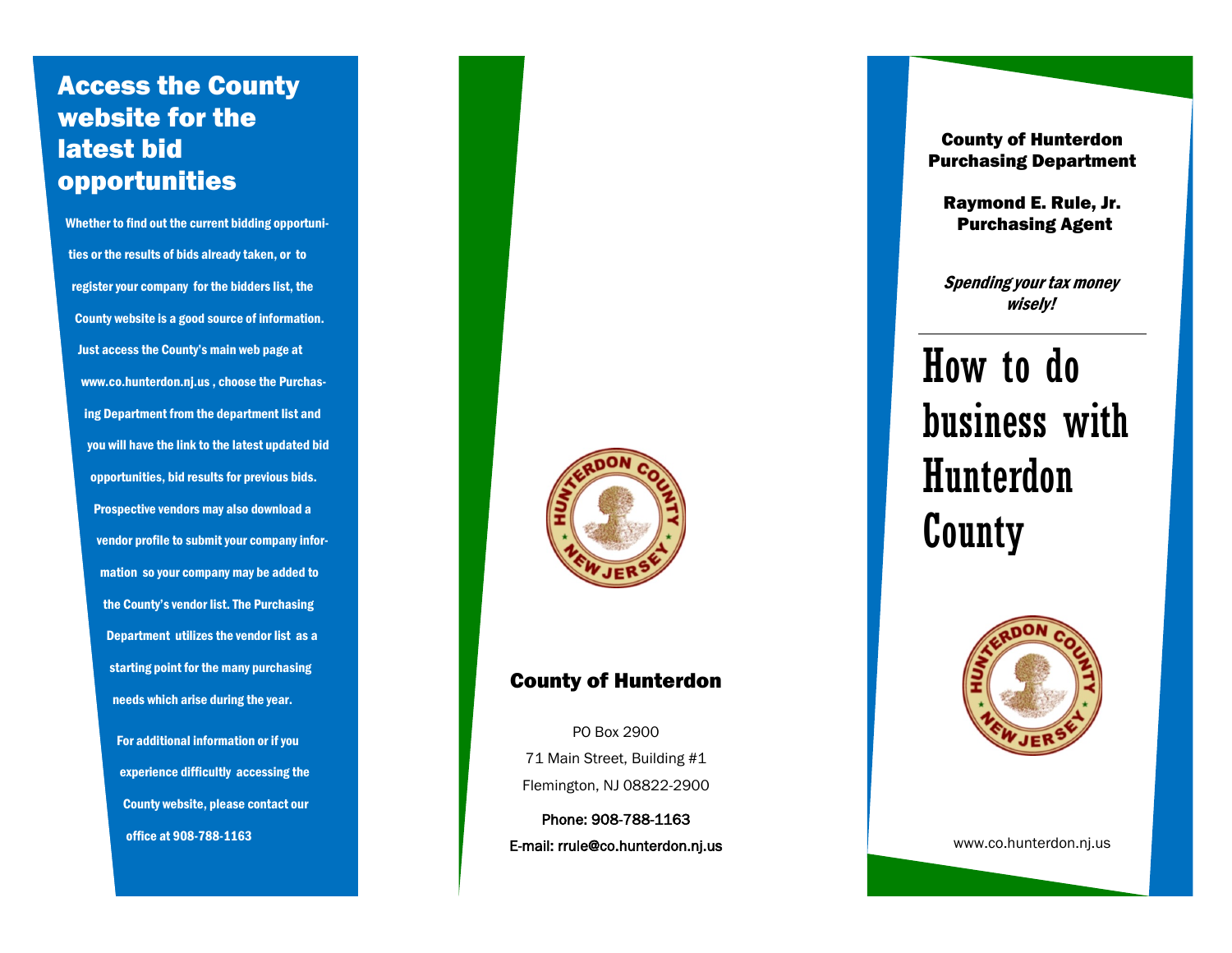# Access the County website for the latest bid opportunities

Whether to find out the current bidding opportunities or the results of bids already taken, or to register your company for the bidders list, the County website is a good source of information. Just access the County's main web page at www.co.hunterdon.nj.us , choose the Purchasing Department from the department list and you will have the link to the latest updated bid opportunities, bid results for previous bids. Prospective vendors may also download a vendor profile to submit your company information so your company may be added to the County's vendor list. The Purchasing Department utilizes the vendor list as a starting point for the many purchasing needs which arise during the year. For additional information or if you

> experience difficultly accessing the County website, please contact our office at 908 -788 -1163



## County of Hunterdon

PO Box 2900 71 Main Street, Building #1 Flemington, NJ 08822 -2900

Phone: 908 -788 E-mail: rrule@co.hunterdon.nj.us

County of Hunterdon Purchasing Department

Raymond E. Rule, Jr. Purchasing Agent

Spending your tax money wisely!

# How to do business with Hunterdon County



www.co.hunterdon.nj.us